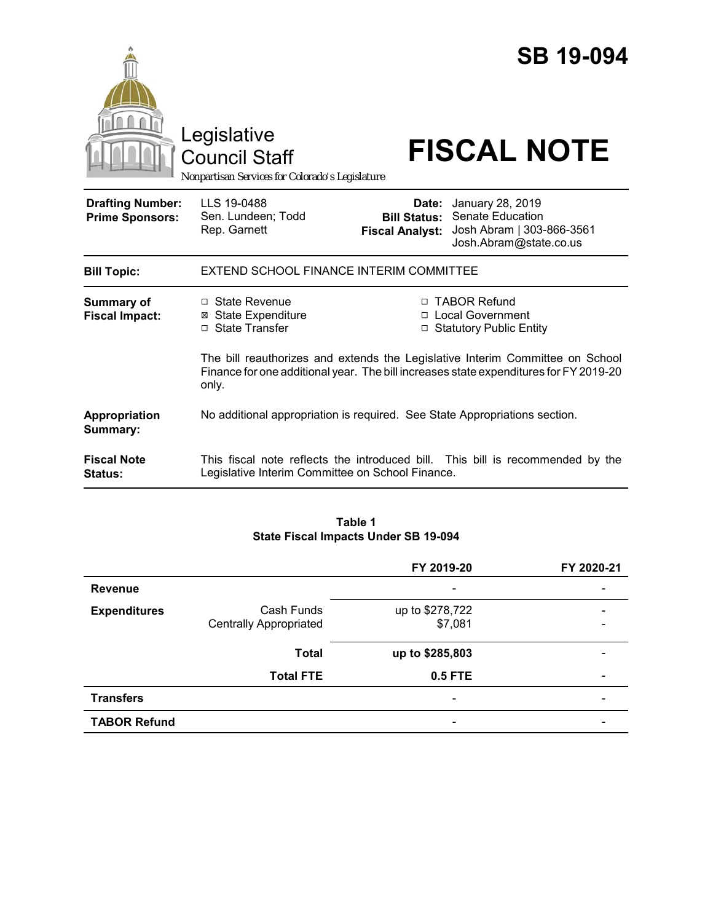|                                                   | Legislative<br><b>Council Staff</b><br>Nonpartisan Services for Colorado's Legislature |                                                        | <b>SB 19-094</b><br><b>FISCAL NOTE</b>                                                                                                             |
|---------------------------------------------------|----------------------------------------------------------------------------------------|--------------------------------------------------------|----------------------------------------------------------------------------------------------------------------------------------------------------|
| <b>Drafting Number:</b><br><b>Prime Sponsors:</b> | LLS 19-0488<br>Sen. Lundeen; Todd<br>Rep. Garnett                                      | Date:<br><b>Bill Status:</b><br><b>Fiscal Analyst:</b> | January 28, 2019<br>Senate Education<br>Josh Abram   303-866-3561<br>Josh.Abram@state.co.us                                                        |
| <b>Bill Topic:</b>                                | EXTEND SCHOOL FINANCE INTERIM COMMITTEE                                                |                                                        |                                                                                                                                                    |
| <b>Summary of</b><br><b>Fiscal Impact:</b>        | $\Box$ State Revenue<br><b>⊠</b> State Expenditure<br>□ State Transfer                 |                                                        | □ TABOR Refund<br>□ Local Government<br>□ Statutory Public Entity<br>The bill reauthorizes and extends the Legislative Interim Committee on School |
|                                                   | only.                                                                                  |                                                        | Finance for one additional year. The bill increases state expenditures for FY 2019-20                                                              |
| Appropriation<br>Summary:                         | No additional appropriation is required. See State Appropriations section.             |                                                        |                                                                                                                                                    |
| <b>Fiscal Note</b><br>Status:                     | Legislative Interim Committee on School Finance.                                       |                                                        | This fiscal note reflects the introduced bill. This bill is recommended by the                                                                     |

# **Table 1 State Fiscal Impacts Under SB 19-094**

|                     |                               | FY 2019-20               | FY 2020-21 |
|---------------------|-------------------------------|--------------------------|------------|
| <b>Revenue</b>      |                               |                          |            |
| <b>Expenditures</b> | Cash Funds                    | up to \$278,722          |            |
|                     | <b>Centrally Appropriated</b> | \$7,081                  |            |
|                     | <b>Total</b>                  | up to \$285,803          |            |
|                     | <b>Total FTE</b>              | 0.5 FTE                  |            |
| <b>Transfers</b>    |                               | $\overline{\phantom{a}}$ |            |
| <b>TABOR Refund</b> |                               |                          |            |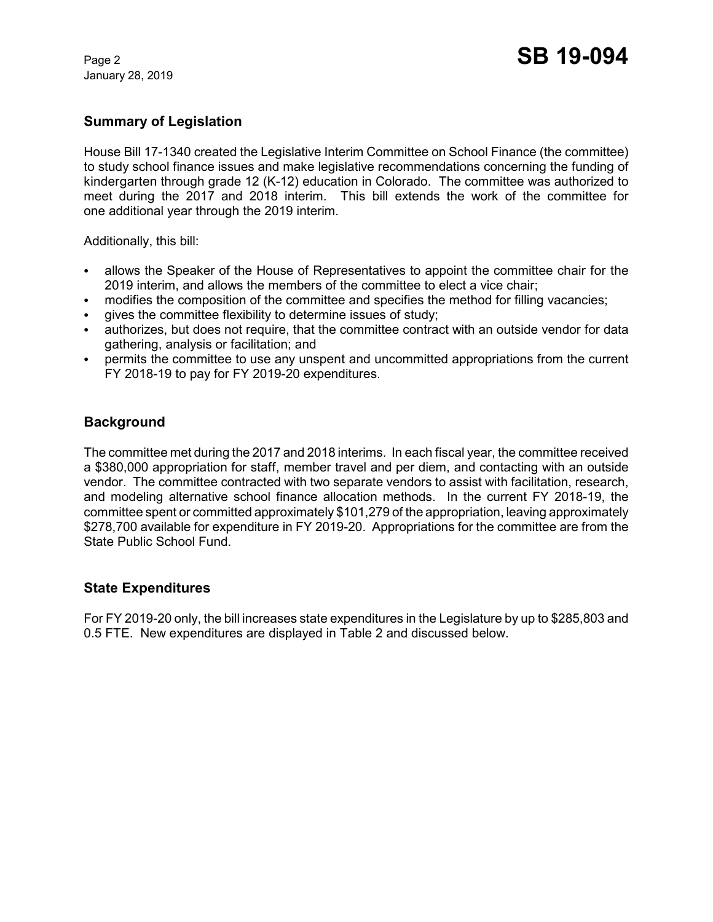January 28, 2019

## **Summary of Legislation**

House Bill 17-1340 created the Legislative Interim Committee on School Finance (the committee) to study school finance issues and make legislative recommendations concerning the funding of kindergarten through grade 12 (K-12) education in Colorado. The committee was authorized to meet during the 2017 and 2018 interim. This bill extends the work of the committee for one additional year through the 2019 interim.

Additionally, this bill:

- C allows the Speaker of the House of Representatives to appoint the committee chair for the 2019 interim, and allows the members of the committee to elect a vice chair;
- modifies the composition of the committee and specifies the method for filling vacancies;
- gives the committee flexibility to determine issues of study;
- authorizes, but does not require, that the committee contract with an outside vendor for data gathering, analysis or facilitation; and
- permits the committee to use any unspent and uncommitted appropriations from the current FY 2018-19 to pay for FY 2019-20 expenditures.

# **Background**

The committee met during the 2017 and 2018 interims. In each fiscal year, the committee received a \$380,000 appropriation for staff, member travel and per diem, and contacting with an outside vendor. The committee contracted with two separate vendors to assist with facilitation, research, and modeling alternative school finance allocation methods. In the current FY 2018-19, the committee spent or committed approximately \$101,279 of the appropriation, leaving approximately \$278,700 available for expenditure in FY 2019-20. Appropriations for the committee are from the State Public School Fund.

### **State Expenditures**

For FY 2019-20 only, the bill increases state expenditures in the Legislature by up to \$285,803 and 0.5 FTE. New expenditures are displayed in Table 2 and discussed below.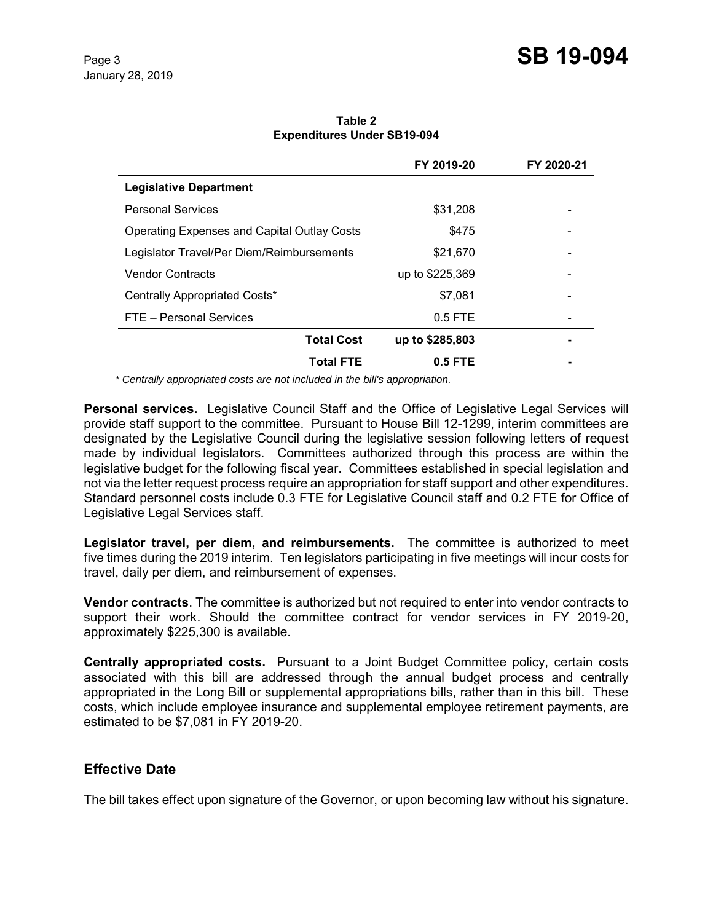|                                                    | FY 2019-20      | FY 2020-21 |
|----------------------------------------------------|-----------------|------------|
| <b>Legislative Department</b>                      |                 |            |
| <b>Personal Services</b>                           | \$31,208        |            |
| <b>Operating Expenses and Capital Outlay Costs</b> | \$475           | -          |
| Legislator Travel/Per Diem/Reimbursements          | \$21,670        |            |
| <b>Vendor Contracts</b>                            | up to \$225,369 |            |
| Centrally Appropriated Costs*                      | \$7.081         |            |
| FTE - Personal Services                            | $0.5$ FTE       |            |
| <b>Total Cost</b>                                  | up to \$285,803 |            |
| <b>Total FTE</b>                                   | $0.5$ FTE       |            |

**Table 2 Expenditures Under SB19-094**

*\* Centrally appropriated costs are not included in the bill's appropriation.*

**Personal services.** Legislative Council Staff and the Office of Legislative Legal Services will provide staff support to the committee. Pursuant to House Bill 12-1299, interim committees are designated by the Legislative Council during the legislative session following letters of request made by individual legislators. Committees authorized through this process are within the legislative budget for the following fiscal year. Committees established in special legislation and not via the letter request process require an appropriation for staff support and other expenditures. Standard personnel costs include 0.3 FTE for Legislative Council staff and 0.2 FTE for Office of Legislative Legal Services staff.

**Legislator travel, per diem, and reimbursements.** The committee is authorized to meet five times during the 2019 interim. Ten legislators participating in five meetings will incur costs for travel, daily per diem, and reimbursement of expenses.

**Vendor contracts**. The committee is authorized but not required to enter into vendor contracts to support their work. Should the committee contract for vendor services in FY 2019-20, approximately \$225,300 is available.

**Centrally appropriated costs.** Pursuant to a Joint Budget Committee policy, certain costs associated with this bill are addressed through the annual budget process and centrally appropriated in the Long Bill or supplemental appropriations bills, rather than in this bill. These costs, which include employee insurance and supplemental employee retirement payments, are estimated to be \$7,081 in FY 2019-20.

#### **Effective Date**

The bill takes effect upon signature of the Governor, or upon becoming law without his signature.